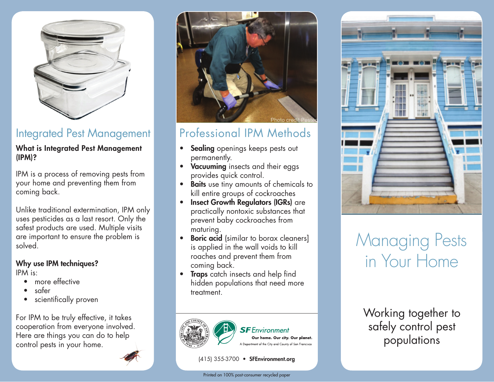

### Integrated Pest Management

#### What is Integrated Pest Management (IPM)?

IPM is a process of removing pests from your home and preventing them from coming back.

Unlike traditional extermination, IPM only uses pesticides as a last resort. Only the safest products are used. Multiple visits are important to ensure the problem is solved.

#### Why use IPM techniques? IPM is:

- more effective
- safer
- scientifically proven

For IPM to be truly effective, it takes cooperation from everyone involved. Here are things you can do to help control pests in your home.



# Professional IPM Methods

- Sealing openings keeps pests out permanently.
- Vacuuming insects and their eggs provides quick control.
- Baits use tiny amounts of chemicals to kill entire groups of cockroaches
- Insect Growth Regulators (IGRs) are practically nontoxic substances that prevent baby cockroaches from maturing.
- **Boric acid** (similar to borax cleaners) is applied in the wall voids to kill roaches and prevent them from coming back.
- Traps catch insects and help find hidden populations that need more treatment.



### **SF** Environment

Our home. Our city. Our planet. A Department of the City and County of San Francisco

#### (415) 355-3700 • SFEnvironment.org





# Managing Pests in Your Home

Working together to safely control pest populations